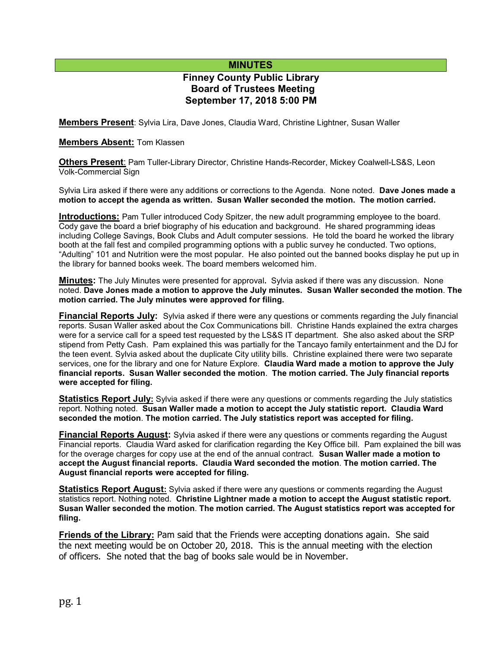# **MINUTES**

# **Finney County Public Library Board of Trustees Meeting September 17, 2018 5:00 PM**

**Members Present**: Sylvia Lira, Dave Jones, Claudia Ward, Christine Lightner, Susan Waller

#### **Members Absent:** Tom Klassen

**Others Present**: Pam Tuller-Library Director, Christine Hands-Recorder, Mickey Coalwell-LS&S, Leon Volk-Commercial Sign

Sylvia Lira asked if there were any additions or corrections to the Agenda. None noted. **Dave Jones made a motion to accept the agenda as written. Susan Waller seconded the motion. The motion carried.**

**Introductions:** Pam Tuller introduced Cody Spitzer, the new adult programming employee to the board. Cody gave the board a brief biography of his education and background. He shared programming ideas including College Savings, Book Clubs and Adult computer sessions. He told the board he worked the library booth at the fall fest and compiled programming options with a public survey he conducted. Two options, "Adulting" 101 and Nutrition were the most popular. He also pointed out the banned books display he put up in the library for banned books week. The board members welcomed him.

**Minutes:** The July Minutes were presented for approval**.** Sylvia asked if there was any discussion. None noted. **Dave Jones made a motion to approve the July minutes. Susan Waller seconded the motion**. **The motion carried. The July minutes were approved for filing.** 

**Financial Reports July:** Sylvia asked if there were any questions or comments regarding the July financial reports. Susan Waller asked about the Cox Communications bill. Christine Hands explained the extra charges were for a service call for a speed test requested by the LS&S IT department. She also asked about the SRP stipend from Petty Cash. Pam explained this was partially for the Tancayo family entertainment and the DJ for the teen event. Sylvia asked about the duplicate City utility bills. Christine explained there were two separate services, one for the library and one for Nature Explore. **Claudia Ward made a motion to approve the July financial reports. Susan Waller seconded the motion**. **The motion carried. The July financial reports were accepted for filing.**

**Statistics Report July:** Sylvia asked if there were any questions or comments regarding the July statistics report. Nothing noted. **Susan Waller made a motion to accept the July statistic report. Claudia Ward seconded the motion**. **The motion carried. The July statistics report was accepted for filing.**

**Financial Reports August:** Sylvia asked if there were any questions or comments regarding the August Financial reports. Claudia Ward asked for clarification regarding the Key Office bill. Pam explained the bill was for the overage charges for copy use at the end of the annual contract. **Susan Waller made a motion to accept the August financial reports. Claudia Ward seconded the motion**. **The motion carried. The August financial reports were accepted for filing.**

**Statistics Report August:** Sylvia asked if there were any questions or comments regarding the August statistics report. Nothing noted. **Christine Lightner made a motion to accept the August statistic report. Susan Waller seconded the motion**. **The motion carried. The August statistics report was accepted for filing.**

**Friends of the Library:** Pam said that the Friends were accepting donations again. She said the next meeting would be on October 20, 2018. This is the annual meeting with the election of officers. She noted that the bag of books sale would be in November.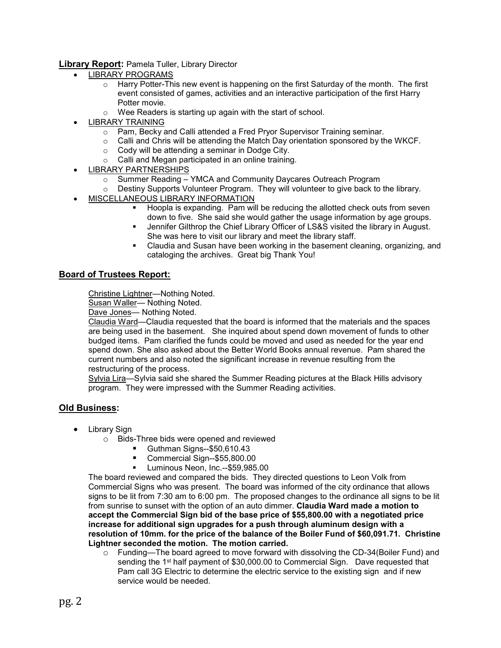**Library Report:** Pamela Tuller, Library Director

- LIBRARY PROGRAMS
	- $\circ$  Harry Potter-This new event is happening on the first Saturday of the month. The first event consisted of games, activities and an interactive participation of the first Harry Potter movie.
	- o Wee Readers is starting up again with the start of school.
- LIBRARY TRAINING
	- o Pam, Becky and Calli attended a Fred Pryor Supervisor Training seminar.
	- $\circ$  Calli and Chris will be attending the Match Day orientation sponsored by the WKCF.
	- $\circ$  Cody will be attending a seminar in Dodge City.
	- o Calli and Megan participated in an online training.
- LIBRARY PARTNERSHIPS
	- o Summer Reading YMCA and Community Daycares Outreach Program

o Destiny Supports Volunteer Program. They will volunteer to give back to the library.

- MISCELLANEOUS LIBRARY INFORMATION
	- Hoopla is expanding. Pam will be reducing the allotted check outs from seven down to five. She said she would gather the usage information by age groups.
	- Jennifer Gilthrop the Chief Library Officer of LS&S visited the library in August. She was here to visit our library and meet the library staff.
	- Claudia and Susan have been working in the basement cleaning, organizing, and cataloging the archives. Great big Thank You!

### **Board of Trustees Report:**

Christine Lightner—Nothing Noted.

Susan Waller— Nothing Noted.

Dave Jones- Nothing Noted.

Claudia Ward—Claudia requested that the board is informed that the materials and the spaces are being used in the basement. She inquired about spend down movement of funds to other budged items. Pam clarified the funds could be moved and used as needed for the year end spend down. She also asked about the Better World Books annual revenue. Pam shared the current numbers and also noted the significant increase in revenue resulting from the restructuring of the process.

Sylvia Lira—Sylvia said she shared the Summer Reading pictures at the Black Hills advisory program. They were impressed with the Summer Reading activities.

### **Old Business:**

- Library Sign
	- o Bids-Three bids were opened and reviewed
		- Guthman Signs--\$50,610.43
		- Commercial Sign--\$55,800.00
		- Luminous Neon, Inc.--\$59,985.00

The board reviewed and compared the bids. They directed questions to Leon Volk from Commercial Signs who was present. The board was informed of the city ordinance that allows signs to be lit from 7:30 am to 6:00 pm. The proposed changes to the ordinance all signs to be lit from sunrise to sunset with the option of an auto dimmer. **Claudia Ward made a motion to accept the Commercial Sign bid of the base price of \$55,800.00 with a negotiated price increase for additional sign upgrades for a push through aluminum design with a resolution of 10mm. for the price of the balance of the Boiler Fund of \$60,091.71. Christine Lightner seconded the motion. The motion carried.**

o Funding—The board agreed to move forward with dissolving the CD-34(Boiler Fund) and sending the 1<sup>st</sup> half payment of \$30,000.00 to Commercial Sign. Dave requested that Pam call 3G Electric to determine the electric service to the existing sign and if new service would be needed.